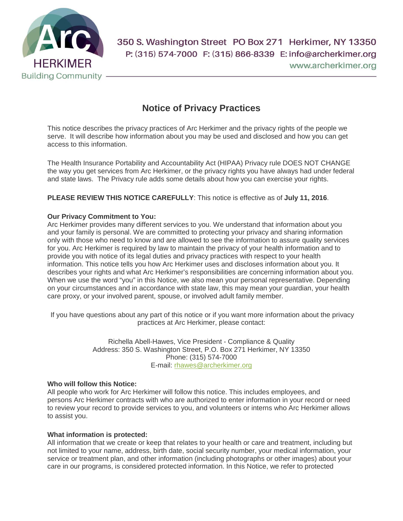

350 S. Washington Street PO Box 271 Herkimer, NY 13350 P: (315) 574-7000 F: (315) 866-8339 E: info@archerkimer.org www.archerkimer.org

# **Notice of Privacy Practices**

This notice describes the privacy practices of Arc Herkimer and the privacy rights of the people we serve. It will describe how information about you may be used and disclosed and how you can get access to this information.

The Health Insurance Portability and Accountability Act (HIPAA) Privacy rule DOES NOT CHANGE the way you get services from Arc Herkimer, or the privacy rights you have always had under federal and state laws. The Privacy rule adds some details about how you can exercise your rights.

**PLEASE REVIEW THIS NOTICE CAREFULLY**: This notice is effective as of **July 11, 2016**.

### **Our Privacy Commitment to You:**

Arc Herkimer provides many different services to you. We understand that information about you and your family is personal. We are committed to protecting your privacy and sharing information only with those who need to know and are allowed to see the information to assure quality services for you. Arc Herkimer is required by law to maintain the privacy of your health information and to provide you with notice of its legal duties and privacy practices with respect to your health information. This notice tells you how Arc Herkimer uses and discloses information about you. It describes your rights and what Arc Herkimer's responsibilities are concerning information about you. When we use the word "you" in this Notice, we also mean your personal representative. Depending on your circumstances and in accordance with state law, this may mean your guardian, your health care proxy, or your involved parent, spouse, or involved adult family member.

If you have questions about any part of this notice or if you want more information about the privacy practices at Arc Herkimer, please contact:

> Richella Abell-Hawes, Vice President - Compliance & Quality Address: 350 S. Washington Street, P.O. Box 271 Herkimer, NY 13350 Phone: (315) 574-7000 E-mail: [rhawes@archerkimer.org](mailto:rhawes@archerkimer.org)

### **Who will follow this Notice:**

All people who work for Arc Herkimer will follow this notice. This includes employees, and persons Arc Herkimer contracts with who are authorized to enter information in your record or need to review your record to provide services to you, and volunteers or interns who Arc Herkimer allows to assist you.

### **What information is protected:**

All information that we create or keep that relates to your health or care and treatment, including but not limited to your name, address, birth date, social security number, your medical information, your service or treatment plan, and other information (including photographs or other images) about your care in our programs, is considered protected information. In this Notice, we refer to protected